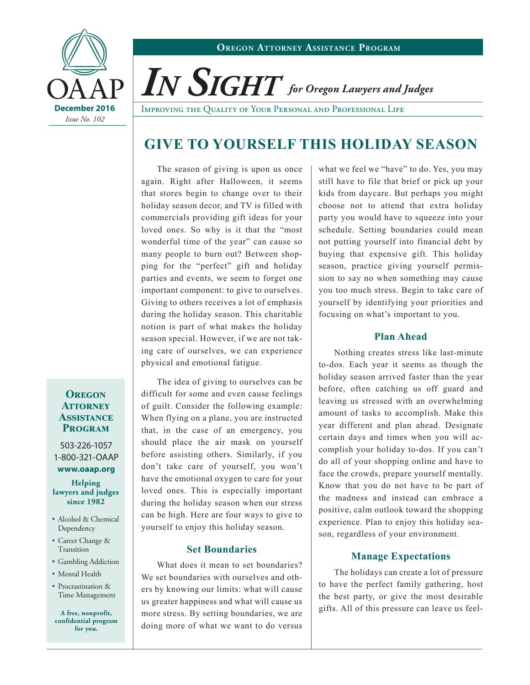

*In Sight for Oregon Lawyers and Judges*

**December 2016** | Improving the Quality of Your Personal and Professional Life

# **GIVE TO YOURSELF THIS HOLIDAY SEASON**

The season of giving is upon us once again. Right after Halloween, it seems that stores begin to change over to their holiday season decor, and TV is filled with commercials providing gift ideas for your loved ones. So why is it that the "most wonderful time of the year" can cause so many people to burn out? Between shopping for the "perfect" gift and holiday parties and events, we seem to forget one important component: to give to ourselves. Giving to others receives a lot of emphasis during the holiday season. This charitable notion is part of what makes the holiday season special. However, if we are not taking care of ourselves, we can experience physical and emotional fatigue.

**Oregon Attorney Assistance Program**

503-226-1057 1-800-321-OAAP **<www.oaap.org>**

**Helping lawyers and judges since 1982**

- Alcohol & Chemical Dependency
- Career Change & Transition
- Gambling Addiction
- Mental Health
- Procrastination & Time Management

**A free, nonprofit, confidential program for you.**

The idea of giving to ourselves can be difficult for some and even cause feelings of guilt. Consider the following example: When flying on a plane, you are instructed that, in the case of an emergency, you should place the air mask on yourself before assisting others. Similarly, if you don't take care of yourself, you won't have the emotional oxygen to care for your loved ones. This is especially important during the holiday season when our stress can be high. Here are four ways to give to yourself to enjoy this holiday season.

## **Set Boundaries**

What does it mean to set boundaries? We set boundaries with ourselves and others by knowing our limits: what will cause us greater happiness and what will cause us more stress. By setting boundaries, we are doing more of what we want to do versus

what we feel we "have" to do. Yes, you may still have to file that brief or pick up your kids from daycare. But perhaps you might choose not to attend that extra holiday party you would have to squeeze into your schedule. Setting boundaries could mean not putting yourself into financial debt by buying that expensive gift. This holiday season, practice giving yourself permission to say no when something may cause you too much stress. Begin to take care of yourself by identifying your priorities and focusing on what's important to you.

#### **Plan Ahead**

Nothing creates stress like last-minute to-dos. Each year it seems as though the holiday season arrived faster than the year before, often catching us off guard and leaving us stressed with an overwhelming amount of tasks to accomplish. Make this year different and plan ahead. Designate certain days and times when you will accomplish your holiday to-dos. If you can't do all of your shopping online and have to face the crowds, prepare yourself mentally. Know that you do not have to be part of the madness and instead can embrace a positive, calm outlook toward the shopping experience. Plan to enjoy this holiday season, regardless of your environment.

## **Manage Expectations**

The holidays can create a lot of pressure to have the perfect family gathering, host the best party, or give the most desirable gifts. All of this pressure can leave us feel-